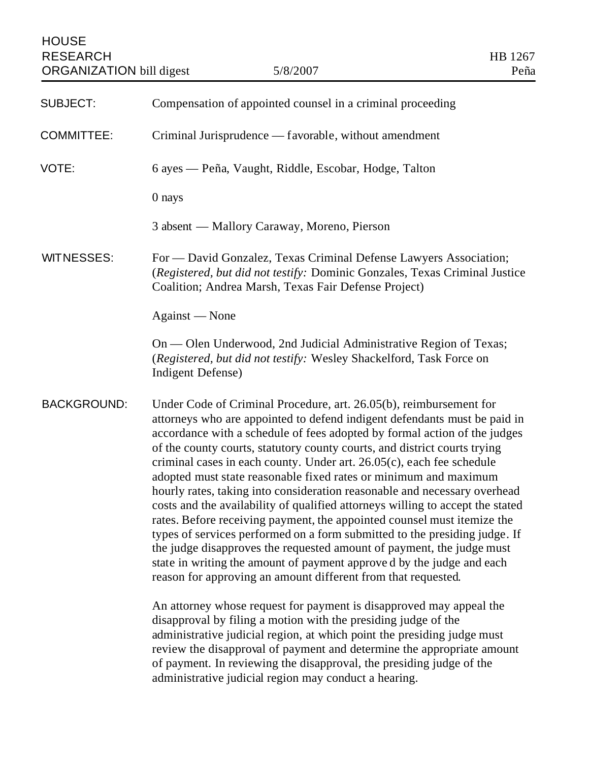| <b>HOUSE</b><br><b>RESEARCH</b><br><b>ORGANIZATION</b> bill digest | 5/8/2007                                                                                                                                                                                                                                                                                                                                                                                                                                                                                                                                                                                                                                                                                                                                                                                                                                                                                                                                                                                             | HB 1267<br>Peña |
|--------------------------------------------------------------------|------------------------------------------------------------------------------------------------------------------------------------------------------------------------------------------------------------------------------------------------------------------------------------------------------------------------------------------------------------------------------------------------------------------------------------------------------------------------------------------------------------------------------------------------------------------------------------------------------------------------------------------------------------------------------------------------------------------------------------------------------------------------------------------------------------------------------------------------------------------------------------------------------------------------------------------------------------------------------------------------------|-----------------|
| <b>SUBJECT:</b>                                                    | Compensation of appointed counsel in a criminal proceeding                                                                                                                                                                                                                                                                                                                                                                                                                                                                                                                                                                                                                                                                                                                                                                                                                                                                                                                                           |                 |
| <b>COMMITTEE:</b>                                                  | Criminal Jurisprudence — favorable, without amendment                                                                                                                                                                                                                                                                                                                                                                                                                                                                                                                                                                                                                                                                                                                                                                                                                                                                                                                                                |                 |
| VOTE:                                                              | 6 ayes — Peña, Vaught, Riddle, Escobar, Hodge, Talton                                                                                                                                                                                                                                                                                                                                                                                                                                                                                                                                                                                                                                                                                                                                                                                                                                                                                                                                                |                 |
|                                                                    | 0 nays                                                                                                                                                                                                                                                                                                                                                                                                                                                                                                                                                                                                                                                                                                                                                                                                                                                                                                                                                                                               |                 |
|                                                                    | 3 absent — Mallory Caraway, Moreno, Pierson                                                                                                                                                                                                                                                                                                                                                                                                                                                                                                                                                                                                                                                                                                                                                                                                                                                                                                                                                          |                 |
| <b>WITNESSES:</b>                                                  | For — David Gonzalez, Texas Criminal Defense Lawyers Association;<br>(Registered, but did not testify: Dominic Gonzales, Texas Criminal Justice<br>Coalition; Andrea Marsh, Texas Fair Defense Project)                                                                                                                                                                                                                                                                                                                                                                                                                                                                                                                                                                                                                                                                                                                                                                                              |                 |
|                                                                    | Against — None                                                                                                                                                                                                                                                                                                                                                                                                                                                                                                                                                                                                                                                                                                                                                                                                                                                                                                                                                                                       |                 |
|                                                                    | On — Olen Underwood, 2nd Judicial Administrative Region of Texas;<br>(Registered, but did not testify: Wesley Shackelford, Task Force on<br>Indigent Defense)                                                                                                                                                                                                                                                                                                                                                                                                                                                                                                                                                                                                                                                                                                                                                                                                                                        |                 |
| <b>BACKGROUND:</b>                                                 | Under Code of Criminal Procedure, art. 26.05(b), reimbursement for<br>attorneys who are appointed to defend indigent defendants must be paid in<br>accordance with a schedule of fees adopted by formal action of the judges<br>of the county courts, statutory county courts, and district courts trying<br>criminal cases in each county. Under art. $26.05(c)$ , each fee schedule<br>adopted must state reasonable fixed rates or minimum and maximum<br>hourly rates, taking into consideration reasonable and necessary overhead<br>costs and the availability of qualified attorneys willing to accept the stated<br>rates. Before receiving payment, the appointed counsel must itemize the<br>types of services performed on a form submitted to the presiding judge. If<br>the judge disapproves the requested amount of payment, the judge must<br>state in writing the amount of payment approved by the judge and each<br>reason for approving an amount different from that requested. |                 |
|                                                                    | An attorney whose request for payment is disapproved may appeal the<br>disapproval by filing a motion with the presiding judge of the<br>administrative judicial region, at which point the presiding judge must<br>review the disapproval of payment and determine the appropriate amount<br>of payment. In reviewing the disapproval, the presiding judge of the<br>administrative judicial region may conduct a hearing.                                                                                                                                                                                                                                                                                                                                                                                                                                                                                                                                                                          |                 |